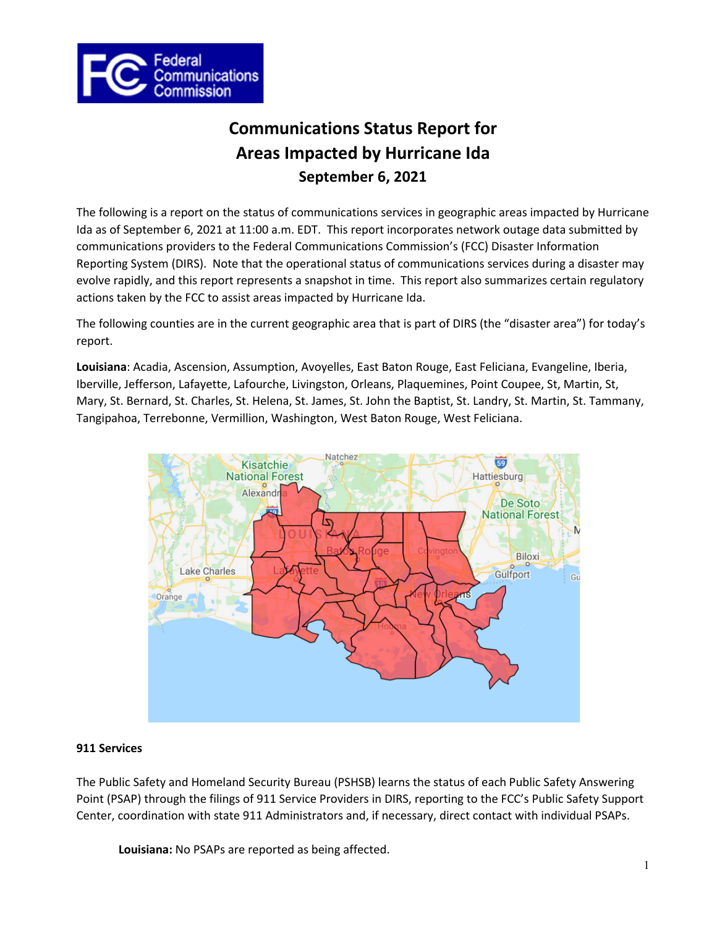

# **Communications Status Report for Areas Impacted by Hurricane Ida September 6, 2021**

The following is a report on the status of communications services in geographic areas impacted by Hurricane Ida as of September 6, 2021 at 11:00 a.m. EDT. This report incorporates network outage data submitted by communications providers to the Federal Communications Commission's (FCC) Disaster Information Reporting System (DIRS). Note that the operational status of communications services during a disaster may evolve rapidly, and this report represents a snapshot in time. This report also summarizes certain regulatory actions taken by the FCC to assist areas impacted by Hurricane Ida.

The following counties are in the current geographic area that is part of DIRS (the "disaster area") for today's report.

**Louisiana**: Acadia, Ascension, Assumption, Avoyelles, East Baton Rouge, East Feliciana, Evangeline, Iberia, Iberville, Jefferson, Lafayette, Lafourche, Livingston, Orleans, Plaquemines, Point Coupee, St, Martin, St, Mary, St. Bernard, St. Charles, St. Helena, St. James, St. John the Baptist, St. Landry, St. Martin, St. Tammany, Tangipahoa, Terrebonne, Vermillion, Washington, West Baton Rouge, West Feliciana.



## **911 Services**

The Public Safety and Homeland Security Bureau (PSHSB) learns the status of each Public Safety Answering Point (PSAP) through the filings of 911 Service Providers in DIRS, reporting to the FCC's Public Safety Support Center, coordination with state 911 Administrators and, if necessary, direct contact with individual PSAPs.

**Louisiana:** No PSAPs are reported as being affected.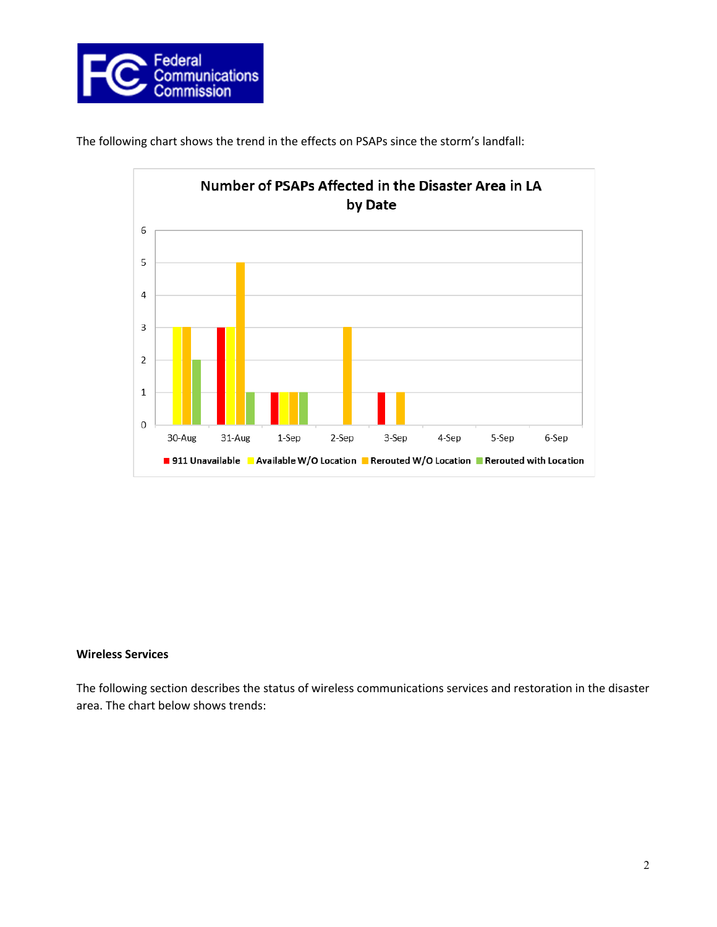





#### **Wireless Services**

The following section describes the status of wireless communications services and restoration in the disaster area. The chart below shows trends: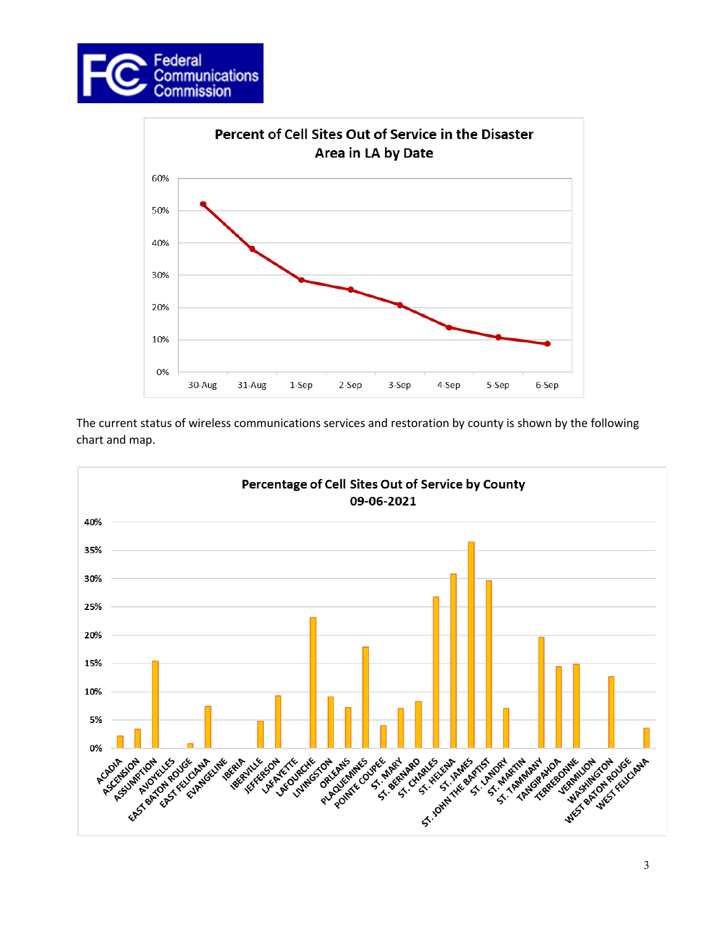



The current status of wireless communications services and restoration by county is shown by the following chart and map.

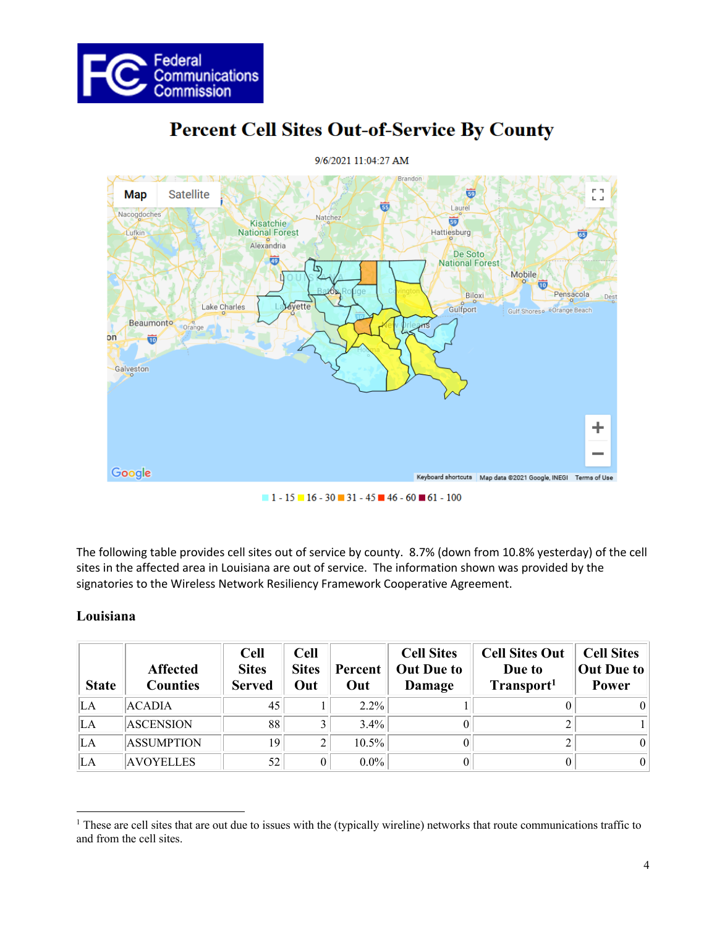



# **Percent Cell Sites Out-of-Service By County**

The following table provides cell sites out of service by county. 8.7% (down from 10.8% yesterday) of the cell sites in the affected area in Louisiana are out of service. The information shown was provided by the signatories to the Wireless Network Resiliency Framework Cooperative Agreement.

## **Louisiana**

| <b>State</b> | <b>Affected</b><br><b>Counties</b> | <b>Cell</b><br><b>Sites</b><br><b>Served</b> | <b>Cell</b><br><b>Sites</b><br>Out | Percent<br>Out | <b>Cell Sites</b><br><b>Out Due to</b><br>Damage | <b>Cell Sites Out</b><br>Due to<br>Transport <sup>1</sup> | <b>Cell Sites</b><br>Out Due to<br>Power |
|--------------|------------------------------------|----------------------------------------------|------------------------------------|----------------|--------------------------------------------------|-----------------------------------------------------------|------------------------------------------|
| LА           | <b>ACADIA</b>                      | 45                                           |                                    | $2.2\%$        |                                                  |                                                           |                                          |
| LA           | <b>ASCENSION</b>                   | 88                                           | 3                                  | $3.4\%$        |                                                  |                                                           |                                          |
| LA           | <b>ASSUMPTION</b>                  | 19                                           | 2                                  | 10.5%          |                                                  |                                                           |                                          |
| LA           | <b>AVOYELLES</b>                   | 52                                           | 0                                  | $0.0\%$        |                                                  |                                                           |                                          |

<sup>&</sup>lt;sup>1</sup> These are cell sites that are out due to issues with the (typically wireline) networks that route communications traffic to and from the cell sites.

 $1 - 15 - 16 - 30 = 31 - 45 = 46 - 60 = 61 - 100$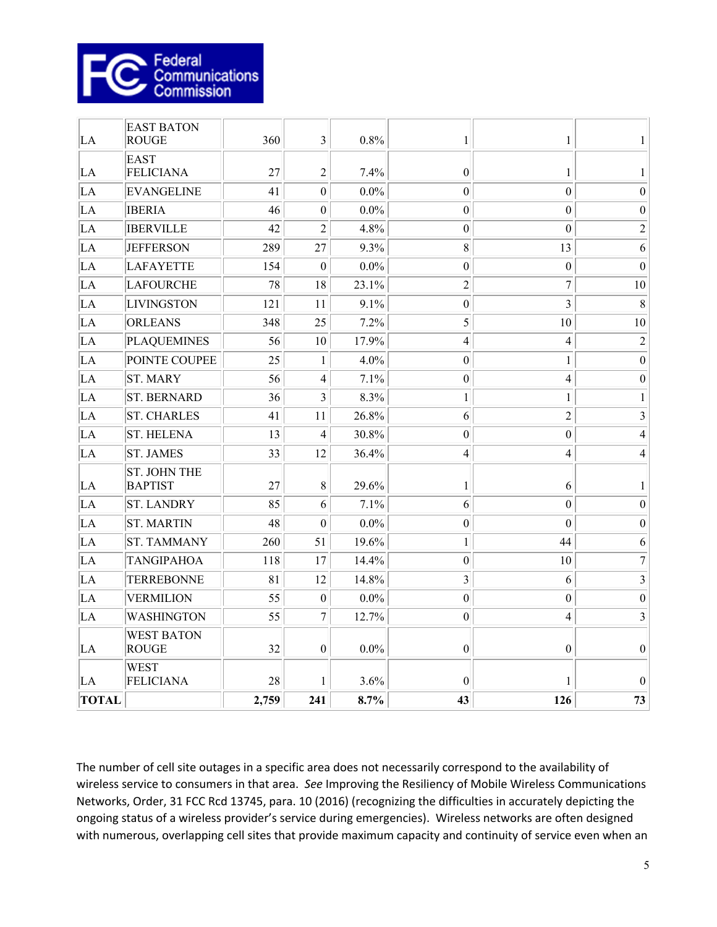

| <b>TOTAL</b> |                                                  | 2,759    | 241                            | 8.7%            | 43                                   | 126                              | 73                      |
|--------------|--------------------------------------------------|----------|--------------------------------|-----------------|--------------------------------------|----------------------------------|-------------------------|
| LA           | <b>WEST</b><br><b>FELICIANA</b>                  | 28       | 1                              | 3.6%            | $\theta$                             | 1                                | $\Omega$                |
| LA           | <b>WEST BATON</b><br><b>ROUGE</b>                | 32       | $\boldsymbol{0}$               | $0.0\%$         | $\boldsymbol{0}$                     | $\boldsymbol{0}$                 | $\boldsymbol{0}$        |
| LA           | <b>WASHINGTON</b>                                | 55       | $\boldsymbol{7}$               | 12.7%           | $\boldsymbol{0}$                     | $\overline{4}$                   | $\overline{\mathbf{3}}$ |
| LA           | <b>VERMILION</b>                                 | 55       | $\mathbf{0}$                   | $0.0\%$         | $\boldsymbol{0}$                     | $\mathbf{0}$                     | $\boldsymbol{0}$        |
| LA           | <b>TERREBONNE</b>                                | 81       | 12                             | 14.8%           | $\overline{\mathbf{3}}$              | 6                                | $\mathfrak{Z}$          |
| LA           | <b>TANGIPAHOA</b>                                | 118      | 17                             | 14.4%           | $\boldsymbol{0}$                     | 10                               | $\boldsymbol{7}$        |
| LA           | <b>ST. TAMMANY</b>                               | 260      | 51                             | 19.6%           | $\mathbf{1}$                         | 44                               | 6                       |
| LA           | <b>ST. MARTIN</b>                                | 48       | $\boldsymbol{0}$               | $0.0\%$         | $\boldsymbol{0}$                     | $\mathbf{0}$                     | $\theta$                |
| LA           | <b>ST. LANDRY</b>                                | 85       | 6                              | 7.1%            | 6                                    | $\mathbf{0}$                     | $\boldsymbol{0}$        |
| LA           | <b>ST. JOHN THE</b><br><b>BAPTIST</b>            | 27       | 8                              | 29.6%           | $\mathbf{1}$                         | 6                                | 1                       |
| LA           | <b>ST. JAMES</b>                                 | 33       | 12                             | 36.4%           | 4                                    | $\overline{4}$                   | $\overline{4}$          |
| LA           | <b>ST. HELENA</b>                                | 13       | $\overline{4}$                 | 30.8%           | $\boldsymbol{0}$                     | $\boldsymbol{0}$                 | $\overline{4}$          |
| LA           | <b>ST. CHARLES</b>                               | 41       | 11                             | 26.8%           | 6                                    | $\overline{c}$                   | $\overline{\mathbf{3}}$ |
| LA           | <b>ST. BERNARD</b>                               | 36       | 3                              | 8.3%            | $\mathbf{1}$                         | $\mathbf{1}$                     | $\mathbf{1}$            |
| LA           | <b>ST. MARY</b>                                  | 56       | $\overline{4}$                 | 7.1%            | $\boldsymbol{0}$                     | $\overline{4}$                   | $\boldsymbol{0}$        |
| LA           | POINTE COUPEE                                    | 25       | $\mathbf{1}$                   | 4.0%            | $\boldsymbol{0}$                     | $\,1$                            | $\boldsymbol{0}$        |
| LA           | <b>PLAQUEMINES</b>                               | 56       | 10                             | 17.9%           | $\overline{4}$                       | $\overline{4}$                   | $\overline{2}$          |
| LA           | <b>ORLEANS</b>                                   | 348      | 25                             | 7.2%            | 5                                    | 10                               | 10                      |
| LA           | <b>LIVINGSTON</b>                                | 121      | 11                             | 9.1%            | $\mathbf{0}$                         | $\overline{3}$                   | 8                       |
| LA           | <b>LAFOURCHE</b>                                 | 78       | 18                             | 23.1%           | $\overline{2}$                       | 7                                | 10                      |
| LA           | LAFAYETTE                                        | 154      | $\mathbf{0}$                   | $0.0\%$         | $\boldsymbol{0}$                     | $\boldsymbol{0}$                 | $\boldsymbol{0}$        |
| LA           | <b>JEFFERSON</b>                                 | 289      | 27                             | 9.3%            | 8                                    | 13                               | 6                       |
| LA           | <b>IBERVILLE</b>                                 | 42       | $\overline{c}$                 | 4.8%            | $\boldsymbol{0}$                     | $\boldsymbol{0}$                 | $\sqrt{2}$              |
| LA           | <b>IBERIA</b>                                    | 46       | $\boldsymbol{0}$               | $0.0\%$         | $\mathbf{0}$                         | $\mathbf{0}$                     | $\boldsymbol{0}$        |
| LA<br>LA     | <b>FELICIANA</b><br><b>EVANGELINE</b>            | 27<br>41 | $\overline{2}$<br>$\mathbf{0}$ | 7.4%<br>$0.0\%$ | $\boldsymbol{0}$<br>$\boldsymbol{0}$ | $\mathbf{1}$<br>$\boldsymbol{0}$ | 1<br>$\overline{0}$     |
| LA           | <b>EAST BATON</b><br><b>ROUGE</b><br><b>EAST</b> | 360      | $\overline{\mathbf{3}}$        | 0.8%            | 1                                    | $\,1$                            | 1                       |
|              |                                                  |          |                                |                 |                                      |                                  |                         |

The number of cell site outages in a specific area does not necessarily correspond to the availability of wireless service to consumers in that area. *See* Improving the Resiliency of Mobile Wireless Communications Networks, Order, 31 FCC Rcd 13745, para. 10 (2016) (recognizing the difficulties in accurately depicting the ongoing status of a wireless provider's service during emergencies). Wireless networks are often designed with numerous, overlapping cell sites that provide maximum capacity and continuity of service even when an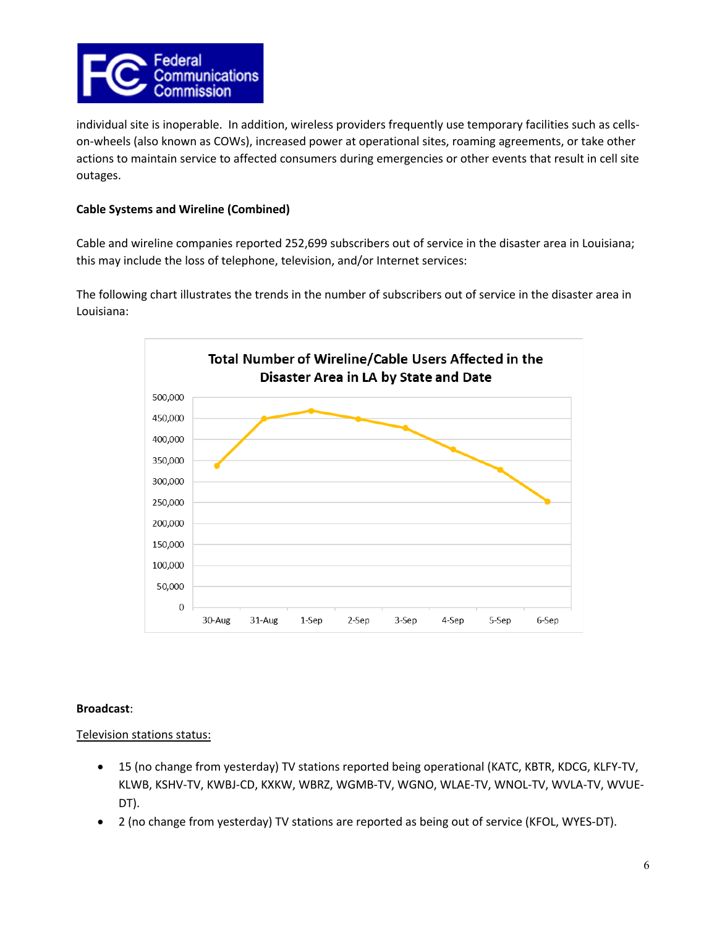

individual site is inoperable. In addition, wireless providers frequently use temporary facilities such as cellson-wheels (also known as COWs), increased power at operational sites, roaming agreements, or take other actions to maintain service to affected consumers during emergencies or other events that result in cell site outages.

## **Cable Systems and Wireline (Combined)**

Cable and wireline companies reported 252,699 subscribers out of service in the disaster area in Louisiana; this may include the loss of telephone, television, and/or Internet services:

The following chart illustrates the trends in the number of subscribers out of service in the disaster area in Louisiana:



#### **Broadcast**:

#### Television stations status:

- 15 (no change from yesterday) TV stations reported being operational (KATC, KBTR, KDCG, KLFY-TV, KLWB, KSHV-TV, KWBJ-CD, KXKW, WBRZ, WGMB-TV, WGNO, WLAE-TV, WNOL-TV, WVLA-TV, WVUE-DT).
- 2 (no change from yesterday) TV stations are reported as being out of service (KFOL, WYES-DT).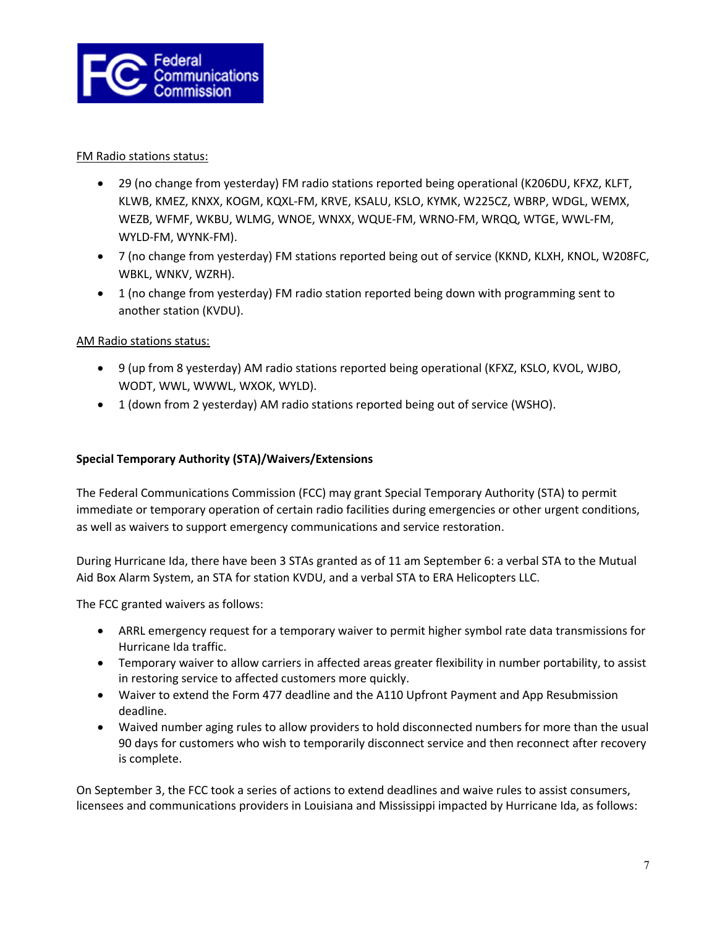

### FM Radio stations status:

- 29 (no change from yesterday) FM radio stations reported being operational (K206DU, KFXZ, KLFT, KLWB, KMEZ, KNXX, KOGM, KQXL-FM, KRVE, KSALU, KSLO, KYMK, W225CZ, WBRP, WDGL, WEMX, WEZB, WFMF, WKBU, WLMG, WNOE, WNXX, WQUE-FM, WRNO-FM, WRQQ, WTGE, WWL-FM, WYLD-FM, WYNK-FM).
- 7 (no change from yesterday) FM stations reported being out of service (KKND, KLXH, KNOL, W208FC, WBKL, WNKV, WZRH).
- 1 (no change from yesterday) FM radio station reported being down with programming sent to another station (KVDU).

## AM Radio stations status:

- 9 (up from 8 yesterday) AM radio stations reported being operational (KFXZ, KSLO, KVOL, WJBO, WODT, WWL, WWWL, WXOK, WYLD).
- 1 (down from 2 yesterday) AM radio stations reported being out of service (WSHO).

## **Special Temporary Authority (STA)/Waivers/Extensions**

The Federal Communications Commission (FCC) may grant Special Temporary Authority (STA) to permit immediate or temporary operation of certain radio facilities during emergencies or other urgent conditions, as well as waivers to support emergency communications and service restoration.

During Hurricane Ida, there have been 3 STAs granted as of 11 am September 6: a verbal STA to the Mutual Aid Box Alarm System, an STA for station KVDU, and a verbal STA to ERA Helicopters LLC.

The FCC granted waivers as follows:

- ARRL emergency request for a temporary waiver to permit higher symbol rate data transmissions for Hurricane Ida traffic.
- Temporary waiver to allow carriers in affected areas greater flexibility in number portability, to assist in restoring service to affected customers more quickly.
- Waiver to extend the Form 477 deadline and the A110 Upfront Payment and App Resubmission deadline.
- Waived number aging rules to allow providers to hold disconnected numbers for more than the usual 90 days for customers who wish to temporarily disconnect service and then reconnect after recovery is complete.

On September 3, the FCC took a series of actions to extend deadlines and waive rules to assist consumers, licensees and communications providers in Louisiana and Mississippi impacted by Hurricane Ida, as follows: